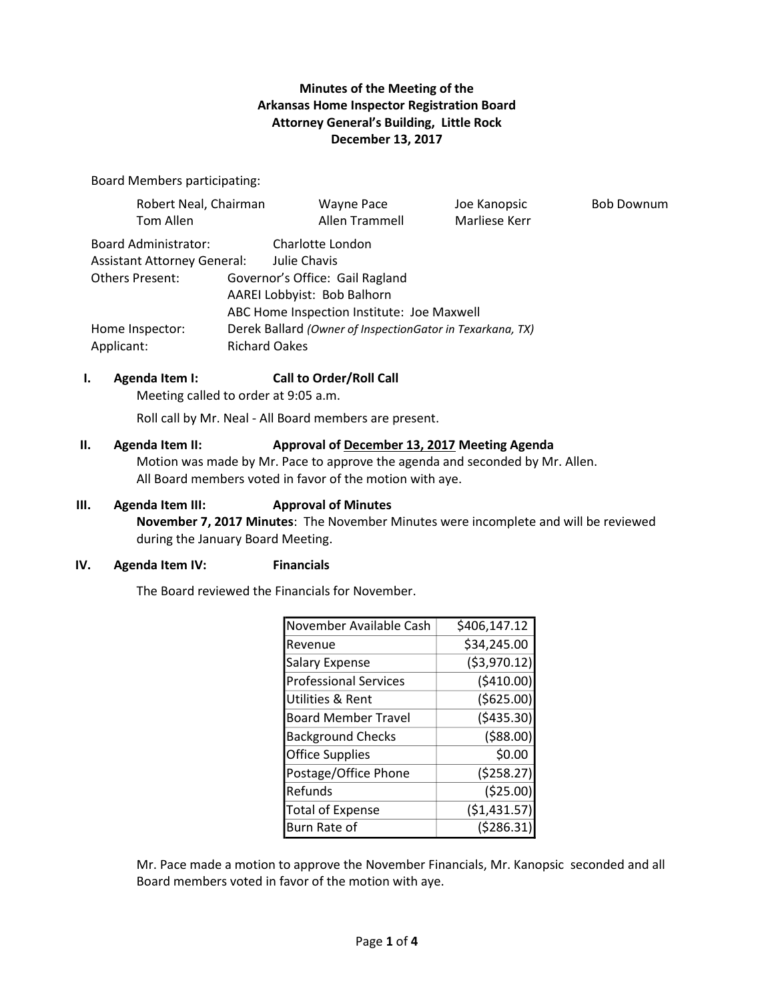## **Minutes of the Meeting of the Arkansas Home Inspector Registration Board Attorney General's Building, Little Rock December 13, 2017**

Board Members participating:

| Robert Neal, Chairman              |                                                           | Wayne Pace                      | Joe Kanopsic  | <b>Bob Downum</b> |  |
|------------------------------------|-----------------------------------------------------------|---------------------------------|---------------|-------------------|--|
| Tom Allen                          |                                                           | Allen Trammell                  | Marliese Kerr |                   |  |
| Board Administrator:               |                                                           | Charlotte London                |               |                   |  |
| <b>Assistant Attorney General:</b> |                                                           | Julie Chavis                    |               |                   |  |
| Others Present:                    |                                                           | Governor's Office: Gail Ragland |               |                   |  |
|                                    | AAREI Lobbyist: Bob Balhorn                               |                                 |               |                   |  |
|                                    | ABC Home Inspection Institute: Joe Maxwell                |                                 |               |                   |  |
| Home Inspector:                    | Derek Ballard (Owner of InspectionGator in Texarkana, TX) |                                 |               |                   |  |
| Applicant:                         | <b>Richard Oakes</b>                                      |                                 |               |                   |  |

#### **I. Agenda Item I: Call to Order/Roll Call**

Meeting called to order at 9:05 a.m.

Roll call by Mr. Neal - All Board members are present.

# **II. Agenda Item II: Approval of December 13, 2017 Meeting Agenda** Motion was made by Mr. Pace to approve the agenda and seconded by Mr. Allen.

All Board members voted in favor of the motion with aye.

## **III. Agenda Item III: Approval of Minutes**

**November 7, 2017 Minutes**: The November Minutes were incomplete and will be reviewed during the January Board Meeting.

#### **IV. Agenda Item IV: Financials**

The Board reviewed the Financials for November.

| November Available Cash      | \$406,147.12  |
|------------------------------|---------------|
| Revenue                      | \$34,245.00   |
| <b>Salary Expense</b>        | ( \$3,970.12) |
| <b>Professional Services</b> | (5410.00)     |
| Utilities & Rent             | ( \$625.00)   |
| <b>Board Member Travel</b>   | ( \$435.30)   |
| <b>Background Checks</b>     | (588.00)      |
| <b>Office Supplies</b>       | \$0.00        |
| Postage/Office Phone         | (5258.27)     |
| Refunds                      | (525.00)      |
| <b>Total of Expense</b>      | ( \$1,431.57) |
| Burn Rate of                 | (5286.31)     |

Mr. Pace made a motion to approve the November Financials, Mr. Kanopsic seconded and all Board members voted in favor of the motion with aye.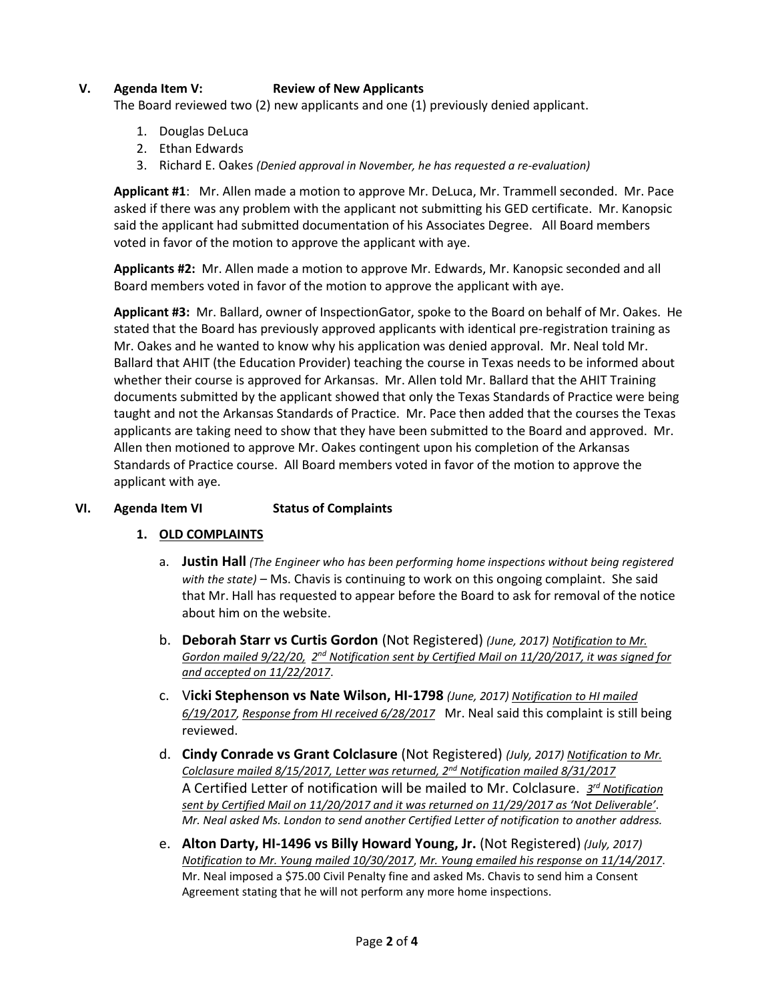## **V. Agenda Item V: Review of New Applicants**

The Board reviewed two (2) new applicants and one (1) previously denied applicant.

- 1. Douglas DeLuca
- 2. Ethan Edwards
- 3. Richard E. Oakes *(Denied approval in November, he has requested a re-evaluation)*

**Applicant #1**: Mr. Allen made a motion to approve Mr. DeLuca, Mr. Trammell seconded. Mr. Pace asked if there was any problem with the applicant not submitting his GED certificate. Mr. Kanopsic said the applicant had submitted documentation of his Associates Degree. All Board members voted in favor of the motion to approve the applicant with aye.

**Applicants #2:** Mr. Allen made a motion to approve Mr. Edwards, Mr. Kanopsic seconded and all Board members voted in favor of the motion to approve the applicant with aye.

**Applicant #3:** Mr. Ballard, owner of InspectionGator, spoke to the Board on behalf of Mr. Oakes. He stated that the Board has previously approved applicants with identical pre-registration training as Mr. Oakes and he wanted to know why his application was denied approval. Mr. Neal told Mr. Ballard that AHIT (the Education Provider) teaching the course in Texas needs to be informed about whether their course is approved for Arkansas. Mr. Allen told Mr. Ballard that the AHIT Training documents submitted by the applicant showed that only the Texas Standards of Practice were being taught and not the Arkansas Standards of Practice. Mr. Pace then added that the courses the Texas applicants are taking need to show that they have been submitted to the Board and approved. Mr. Allen then motioned to approve Mr. Oakes contingent upon his completion of the Arkansas Standards of Practice course. All Board members voted in favor of the motion to approve the applicant with aye.

#### **VI. Agenda Item VI Status of Complaints**

#### **1. OLD COMPLAINTS**

- a. **Justin Hall** *(The Engineer who has been performing home inspections without being registered with the state)* – Ms. Chavis is continuing to work on this ongoing complaint. She said that Mr. Hall has requested to appear before the Board to ask for removal of the notice about him on the website.
- b. **Deborah Starr vs Curtis Gordon** (Not Registered) *(June, 2017) Notification to Mr.*  Gordon mailed 9/22/20, 2<sup>nd</sup> Notification sent by Certified Mail on 11/20/2017, it was signed for *and accepted on 11/22/2017*.
- c. V**icki Stephenson vs Nate Wilson, HI-1798** *(June, 2017) Notification to HI mailed 6/19/2017, Response from HI received 6/28/2017* Mr. Neal said this complaint is still being reviewed.
- d. **Cindy Conrade vs Grant Colclasure** (Not Registered) *(July, 2017) Notification to Mr. Colclasure mailed 8/15/2017, Letter was returned, 2nd Notification mailed 8/31/2017* A Certified Letter of notification will be mailed to Mr. Colclasure. *3<sup>rd</sup> Notification sent by Certified Mail on 11/20/2017 and it was returned on 11/29/2017 as 'Not Deliverable'. Mr. Neal asked Ms. London to send another Certified Letter of notification to another address.*
- e. **Alton Darty, HI-1496 vs Billy Howard Young, Jr.** (Not Registered) *(July, 2017) Notification to Mr. Young mailed 10/30/2017*, *Mr. Young emailed his response on 11/14/2017*. Mr. Neal imposed a \$75.00 Civil Penalty fine and asked Ms. Chavis to send him a Consent Agreement stating that he will not perform any more home inspections.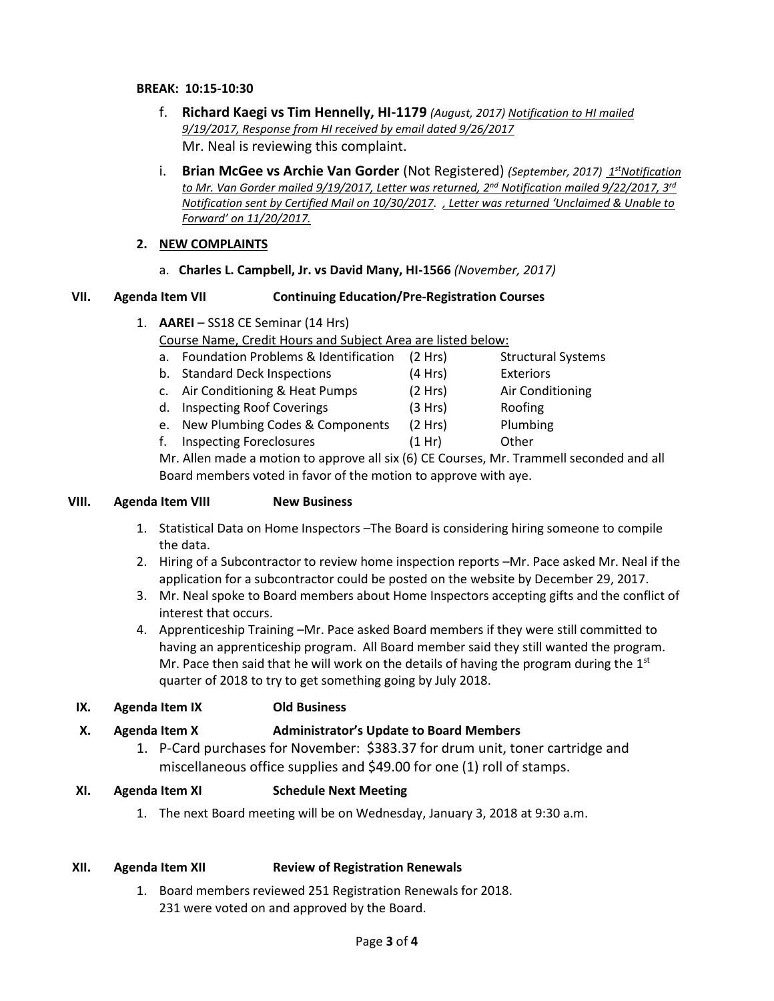- f. **Richard Kaegi vs Tim Hennelly, HI-1179** *(August, 2017) Notification to HI mailed 9/19/2017, Response from HI received by email dated 9/26/2017* Mr. Neal is reviewing this complaint.
- i. Brian McGee vs Archie Van Gorder (Not Registered) (September, 2017) *1<sup>st</sup>Notification to Mr. Van Gorder mailed 9/19/2017, Letter was returned, 2nd Notification mailed 9/22/2017, 3rd Notification sent by Certified Mail on 10/30/2017. , Letter was returned 'Unclaimed & Unable to Forward' on 11/20/2017.*

## **2. NEW COMPLAINTS**

a. **Charles L. Campbell, Jr. vs David Many, HI-1566** *(November, 2017)*

#### **VII. Agenda Item VII Continuing Education/Pre-Registration Courses**

- 1. **AAREI** SS18 CE Seminar (14 Hrs) Course Name, Credit Hours and Subject Area are listed below:
	- a. Foundation Problems & Identification (2 Hrs) Structural Systems
	- b. Standard Deck Inspections (4 Hrs) Exteriors
	- c. Air Conditioning & Heat Pumps (2 Hrs) Air Conditioning
	- d. Inspecting Roof Coverings (3 Hrs) Roofing
	- e. New Plumbing Codes & Components (2 Hrs) Plumbing
	- f. Inspecting Foreclosures (1 Hr) Other

Mr. Allen made a motion to approve all six (6) CE Courses, Mr. Trammell seconded and all Board members voted in favor of the motion to approve with aye.

#### **VIII. Agenda Item VIII New Business**

- 1. Statistical Data on Home Inspectors –The Board is considering hiring someone to compile the data.
- 2. Hiring of a Subcontractor to review home inspection reports –Mr. Pace asked Mr. Neal if the application for a subcontractor could be posted on the website by December 29, 2017.
- 3. Mr. Neal spoke to Board members about Home Inspectors accepting gifts and the conflict of interest that occurs.
- 4. Apprenticeship Training –Mr. Pace asked Board members if they were still committed to having an apprenticeship program. All Board member said they still wanted the program. Mr. Pace then said that he will work on the details of having the program during the  $1<sup>st</sup>$ quarter of 2018 to try to get something going by July 2018.

## **IX. Agenda Item IX Old Business**

## **X. Agenda Item X Administrator's Update to Board Members**

1. P-Card purchases for November: \$383.37 for drum unit, toner cartridge and miscellaneous office supplies and \$49.00 for one (1) roll of stamps.

## **XI. Agenda Item XI Schedule Next Meeting**

1. The next Board meeting will be on Wednesday, January 3, 2018 at 9:30 a.m.

## **XII. Agenda Item XII Review of Registration Renewals**

1. Board members reviewed 251 Registration Renewals for 2018. 231 were voted on and approved by the Board.